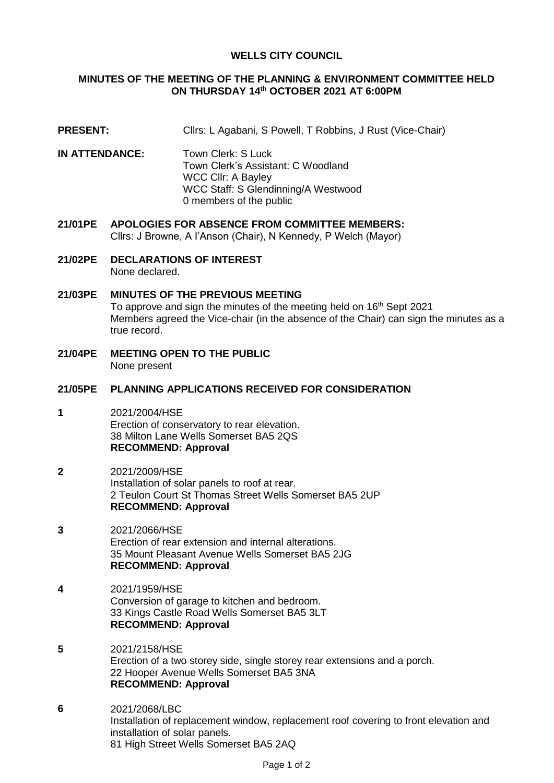## **WELLS CITY COUNCIL**

## **MINUTES OF THE MEETING OF THE PLANNING & ENVIRONMENT COMMITTEE HELD ON THURSDAY 14 th OCTOBER 2021 AT 6:00PM**

- **PRESENT:** Cllrs: L Agabani, S Powell, T Robbins, J Rust (Vice-Chair)
- **IN ATTENDANCE:** Town Clerk: S Luck Town Clerk's Assistant: C Woodland WCC Cllr: A Bayley WCC Staff: S Glendinning/A Westwood 0 members of the public
- **21/01PE APOLOGIES FOR ABSENCE FROM COMMITTEE MEMBERS:** Cllrs: J Browne, A I'Anson (Chair), N Kennedy, P Welch (Mayor)
- **21/02PE DECLARATIONS OF INTEREST**  None declared.
- **21/03PE MINUTES OF THE PREVIOUS MEETING** To approve and sign the minutes of the meeting held on 16<sup>th</sup> Sept 2021 Members agreed the Vice-chair (in the absence of the Chair) can sign the minutes as a true record.
- **21/04PE MEETING OPEN TO THE PUBLIC** None present

#### **21/05PE PLANNING APPLICATIONS RECEIVED FOR CONSIDERATION**

- **1** 2021/2004/HSE Erection of conservatory to rear elevation. 38 Milton Lane Wells Somerset BA5 2QS **RECOMMEND: Approval**
- **2** 2021/2009/HSE Installation of solar panels to roof at rear. 2 Teulon Court St Thomas Street Wells Somerset BA5 2UP **RECOMMEND: Approval**
- **3** 2021/2066/HSE Erection of rear extension and internal alterations. 35 Mount Pleasant Avenue Wells Somerset BA5 2JG **RECOMMEND: Approval**
- **4** 2021/1959/HSE Conversion of garage to kitchen and bedroom. 33 Kings Castle Road Wells Somerset BA5 3LT **RECOMMEND: Approval**
- **5** 2021/2158/HSE Erection of a two storey side, single storey rear extensions and a porch. 22 Hooper Avenue Wells Somerset BA5 3NA **RECOMMEND: Approval**
- **6** 2021/2068/LBC Installation of replacement window, replacement roof covering to front elevation and installation of solar panels. 81 High Street Wells Somerset BA5 2AQ